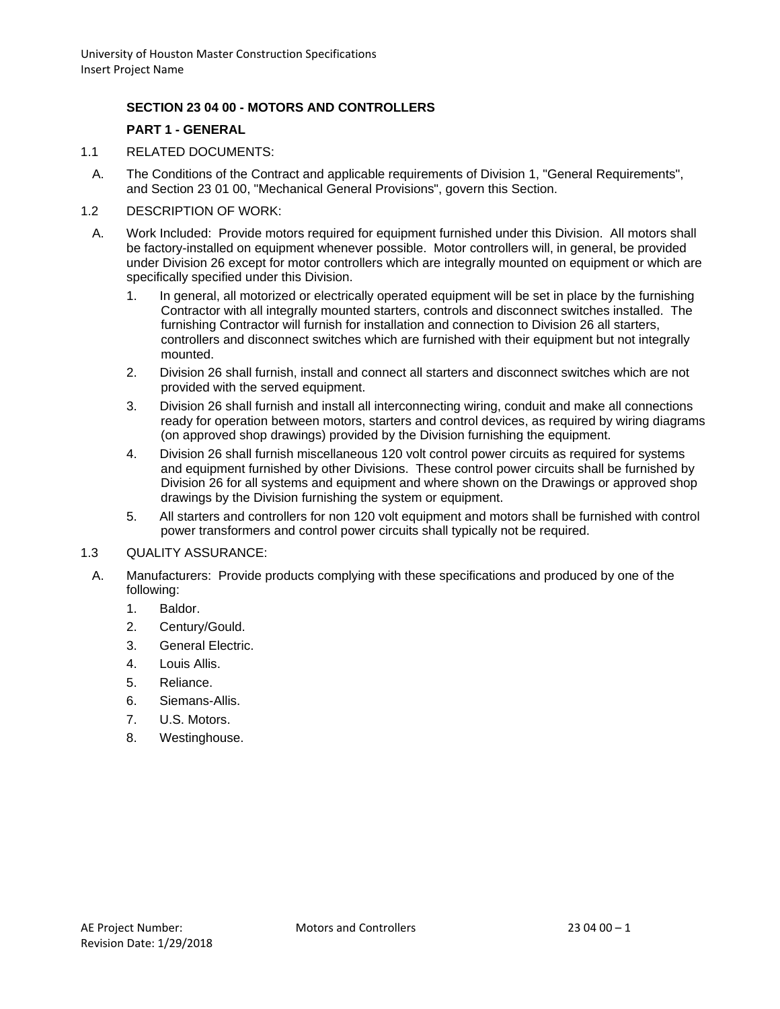## **SECTION 23 04 00 - MOTORS AND CONTROLLERS**

#### **PART 1 - GENERAL**

- 1.1 RELATED DOCUMENTS:
	- A. The Conditions of the Contract and applicable requirements of Division 1, "General Requirements", and Section 23 01 00, "Mechanical General Provisions", govern this Section.
- 1.2 DESCRIPTION OF WORK:
	- A. Work Included: Provide motors required for equipment furnished under this Division. All motors shall be factory-installed on equipment whenever possible. Motor controllers will, in general, be provided under Division 26 except for motor controllers which are integrally mounted on equipment or which are specifically specified under this Division.
		- 1. In general, all motorized or electrically operated equipment will be set in place by the furnishing Contractor with all integrally mounted starters, controls and disconnect switches installed. The furnishing Contractor will furnish for installation and connection to Division 26 all starters, controllers and disconnect switches which are furnished with their equipment but not integrally mounted.
		- 2. Division 26 shall furnish, install and connect all starters and disconnect switches which are not provided with the served equipment.
		- 3. Division 26 shall furnish and install all interconnecting wiring, conduit and make all connections ready for operation between motors, starters and control devices, as required by wiring diagrams (on approved shop drawings) provided by the Division furnishing the equipment.
		- 4. Division 26 shall furnish miscellaneous 120 volt control power circuits as required for systems and equipment furnished by other Divisions. These control power circuits shall be furnished by Division 26 for all systems and equipment and where shown on the Drawings or approved shop drawings by the Division furnishing the system or equipment.
		- 5. All starters and controllers for non 120 volt equipment and motors shall be furnished with control power transformers and control power circuits shall typically not be required.
- 1.3 QUALITY ASSURANCE:
- A. Manufacturers: Provide products complying with these specifications and produced by one of the following:
	- 1. Baldor.
	- 2. Century/Gould.
	- 3. General Electric.
	- 4. Louis Allis.
	- 5. Reliance.
	- 6. Siemans-Allis.
	- 7. U.S. Motors.
	- 8. Westinghouse.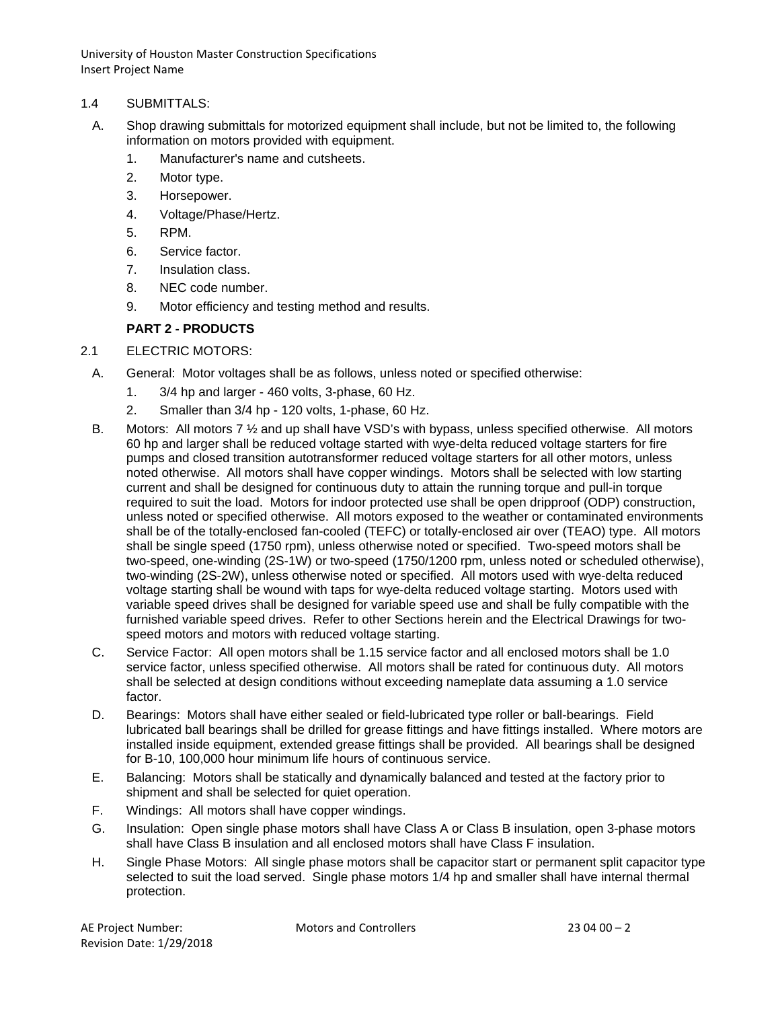University of Houston Master Construction Specifications Insert Project Name

#### 1.4 SUBMITTALS:

- A. Shop drawing submittals for motorized equipment shall include, but not be limited to, the following information on motors provided with equipment.
	- 1. Manufacturer's name and cutsheets.
	- 2. Motor type.
	- 3. Horsepower.
	- 4. Voltage/Phase/Hertz.
	- 5. RPM.
	- 6. Service factor.
	- 7. Insulation class.
	- 8. NEC code number.
	- 9. Motor efficiency and testing method and results.

## **PART 2 - PRODUCTS**

#### 2.1 ELECTRIC MOTORS:

- A. General: Motor voltages shall be as follows, unless noted or specified otherwise:
	- 1. 3/4 hp and larger 460 volts, 3-phase, 60 Hz.
	- 2. Smaller than 3/4 hp 120 volts, 1-phase, 60 Hz.
- B. Motors: All motors 7 ½ and up shall have VSD's with bypass, unless specified otherwise. All motors 60 hp and larger shall be reduced voltage started with wye-delta reduced voltage starters for fire pumps and closed transition autotransformer reduced voltage starters for all other motors, unless noted otherwise. All motors shall have copper windings. Motors shall be selected with low starting current and shall be designed for continuous duty to attain the running torque and pull-in torque required to suit the load. Motors for indoor protected use shall be open dripproof (ODP) construction, unless noted or specified otherwise. All motors exposed to the weather or contaminated environments shall be of the totally-enclosed fan-cooled (TEFC) or totally-enclosed air over (TEAO) type. All motors shall be single speed (1750 rpm), unless otherwise noted or specified. Two-speed motors shall be two-speed, one-winding (2S-1W) or two-speed (1750/1200 rpm, unless noted or scheduled otherwise), two-winding (2S-2W), unless otherwise noted or specified. All motors used with wye-delta reduced voltage starting shall be wound with taps for wye-delta reduced voltage starting. Motors used with variable speed drives shall be designed for variable speed use and shall be fully compatible with the furnished variable speed drives. Refer to other Sections herein and the Electrical Drawings for twospeed motors and motors with reduced voltage starting.
- C. Service Factor: All open motors shall be 1.15 service factor and all enclosed motors shall be 1.0 service factor, unless specified otherwise. All motors shall be rated for continuous duty. All motors shall be selected at design conditions without exceeding nameplate data assuming a 1.0 service factor.
- D. Bearings: Motors shall have either sealed or field-lubricated type roller or ball-bearings. Field lubricated ball bearings shall be drilled for grease fittings and have fittings installed. Where motors are installed inside equipment, extended grease fittings shall be provided. All bearings shall be designed for B-10, 100,000 hour minimum life hours of continuous service.
- E. Balancing: Motors shall be statically and dynamically balanced and tested at the factory prior to shipment and shall be selected for quiet operation.
- F. Windings: All motors shall have copper windings.
- G. Insulation: Open single phase motors shall have Class A or Class B insulation, open 3-phase motors shall have Class B insulation and all enclosed motors shall have Class F insulation.
- H. Single Phase Motors: All single phase motors shall be capacitor start or permanent split capacitor type selected to suit the load served. Single phase motors 1/4 hp and smaller shall have internal thermal protection.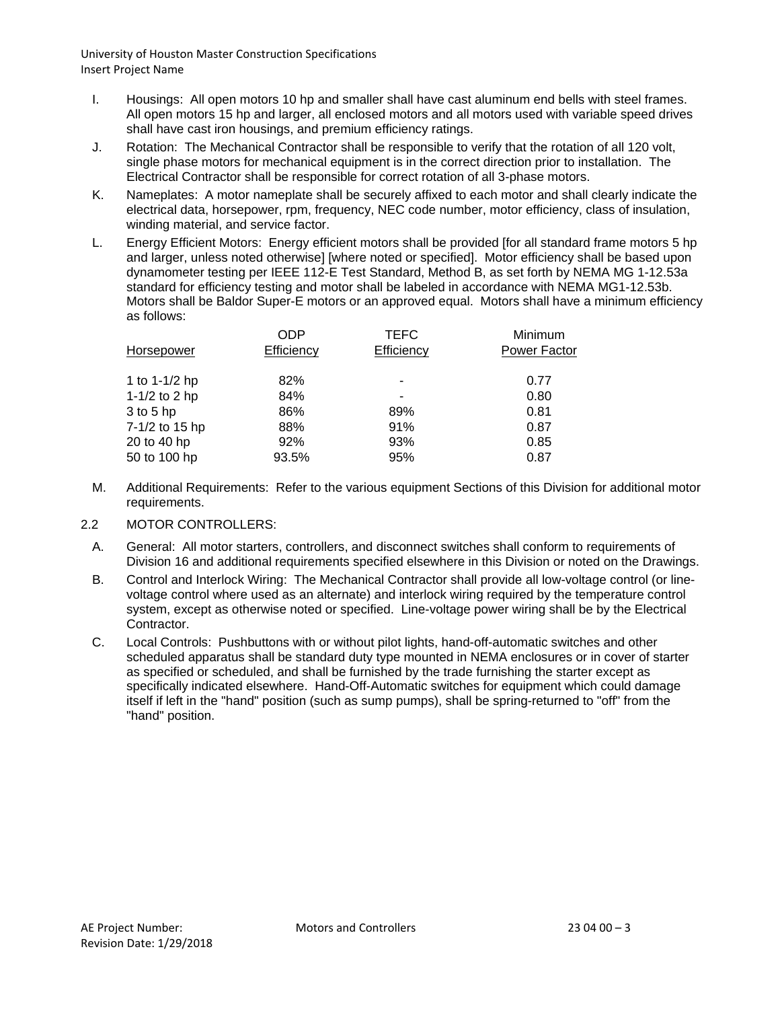University of Houston Master Construction Specifications Insert Project Name

- I. Housings: All open motors 10 hp and smaller shall have cast aluminum end bells with steel frames. All open motors 15 hp and larger, all enclosed motors and all motors used with variable speed drives shall have cast iron housings, and premium efficiency ratings.
- J. Rotation: The Mechanical Contractor shall be responsible to verify that the rotation of all 120 volt, single phase motors for mechanical equipment is in the correct direction prior to installation. The Electrical Contractor shall be responsible for correct rotation of all 3-phase motors.
- K. Nameplates: A motor nameplate shall be securely affixed to each motor and shall clearly indicate the electrical data, horsepower, rpm, frequency, NEC code number, motor efficiency, class of insulation, winding material, and service factor.
- L. Energy Efficient Motors: Energy efficient motors shall be provided [for all standard frame motors 5 hp and larger, unless noted otherwise] [where noted or specified]. Motor efficiency shall be based upon dynamometer testing per IEEE 112-E Test Standard, Method B, as set forth by NEMA MG 1-12.53a standard for efficiency testing and motor shall be labeled in accordance with NEMA MG1-12.53b. Motors shall be Baldor Super-E motors or an approved equal. Motors shall have a minimum efficiency as follows:

|                | <b>ODP</b> | <b>TEFC</b> | Minimum             |
|----------------|------------|-------------|---------------------|
| Horsepower     | Efficiency | Efficiency  | <b>Power Factor</b> |
|                |            |             |                     |
| 1 to 1-1/2 hp  | 82%        |             | 0.77                |
| 1-1/2 to 2 hp  | 84%        |             | 0.80                |
| $3$ to $5$ hp  | 86%        | 89%         | 0.81                |
| 7-1/2 to 15 hp | 88%        | 91%         | 0.87                |
| 20 to 40 hp    | 92%        | 93%         | 0.85                |
| 50 to 100 hp   | 93.5%      | 95%         | 0.87                |
|                |            |             |                     |

- M. Additional Requirements: Refer to the various equipment Sections of this Division for additional motor requirements.
- 2.2 MOTOR CONTROLLERS:
	- A. General: All motor starters, controllers, and disconnect switches shall conform to requirements of Division 16 and additional requirements specified elsewhere in this Division or noted on the Drawings.
	- B. Control and Interlock Wiring: The Mechanical Contractor shall provide all low-voltage control (or linevoltage control where used as an alternate) and interlock wiring required by the temperature control system, except as otherwise noted or specified. Line-voltage power wiring shall be by the Electrical Contractor.
	- C. Local Controls: Pushbuttons with or without pilot lights, hand-off-automatic switches and other scheduled apparatus shall be standard duty type mounted in NEMA enclosures or in cover of starter as specified or scheduled, and shall be furnished by the trade furnishing the starter except as specifically indicated elsewhere. Hand-Off-Automatic switches for equipment which could damage itself if left in the "hand" position (such as sump pumps), shall be spring-returned to "off" from the "hand" position.